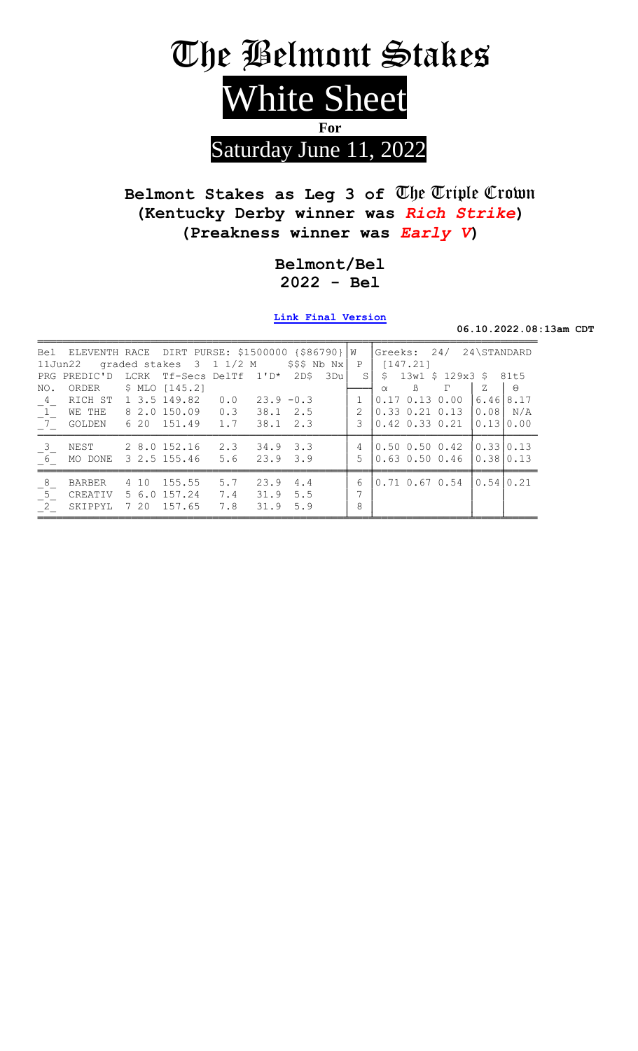

# Belmont Stakes as Leg 3 of The Triple Crown (Kentucky Derby winner was Rich Strike) (Preakness winner was Early V)

#### Belmont/Bel  $2022 - Bel$

Link Final Version

06.10.2022.08:13am CDT

|                                 | Bel ELEVENTH RACE DIRT PURSE: \$1500000 {\$86790} W<br>11Jun22 |      | graded stakes 3 1 1/2 M                             |                   |                                      | $$$ \$\$\$ Nb Nx |     | $\mathbf{P}$       | Greeks: 24/<br>[147.21]                                              |          | 24\STANDARD                   |              |
|---------------------------------|----------------------------------------------------------------|------|-----------------------------------------------------|-------------------|--------------------------------------|------------------|-----|--------------------|----------------------------------------------------------------------|----------|-------------------------------|--------------|
| NO.                             | PRG PREDIC'D<br>ORDER \$ MLO [145.2]                           |      | LCRK Tf-Secs DelTf 1'D*                             |                   |                                      | 2D\$             | 3Du | S.                 | $$13w1$$ $$129x3$$ $$81t5$<br>$\mathbb{B}$<br>$\alpha$               | $\Gamma$ | Z                             | $\Theta$     |
| $-4$<br>1                       | RICH ST<br>WE THE<br>$7^{\circ}$ GOLDEN                        |      | 1 3.5 149.82 0.0<br>8 2.0 150.09<br>6 20 151.49 1.7 | 0.3               | $38.1 \quad 2.5$<br>$38.1 \quad 2.3$ | $23.9 - 0.3$     |     | $\mathcal{L}$<br>3 | $0.17$ $0.13$ $0.00$<br>$0.33$ $0.21$ $0.13$<br>$0.42$ $0.33$ $0.21$ |          | 6.46<br>$ 0.08 $ N/A<br>10.13 | 8.17<br>0.00 |
| $\overline{\mathbf{3}}$<br>$-6$ | NEST<br>MO DONE                                                |      | 2 8.0 152.16<br>3, 2.5, 155.46, 5.6                 | 2.3               | $34.9$ $3.3$<br>$23.9$ $3.9$         |                  |     | 4<br>5             | $0.50$ $0.50$ $0.42$<br>$0.63$ $0.50$ $0.46$                         |          | 10.3310.13<br>10.3810.13      |              |
| 8<br>$5\overline{)}$<br>$^{-2}$ | BARBER<br>CREATIV<br>SKIPPYL                                   | 4 10 | 155.55<br>5 6.0 157.24<br>7 20 157.65               | 5.7<br>7.4<br>7.8 | 23.9<br>31.9<br>31.9 5.9             | 4.4<br>5.5       |     | 6<br>7<br>8        | $0.71$ $0.67$ $0.54$                                                 |          | 10.541                        | 0.21         |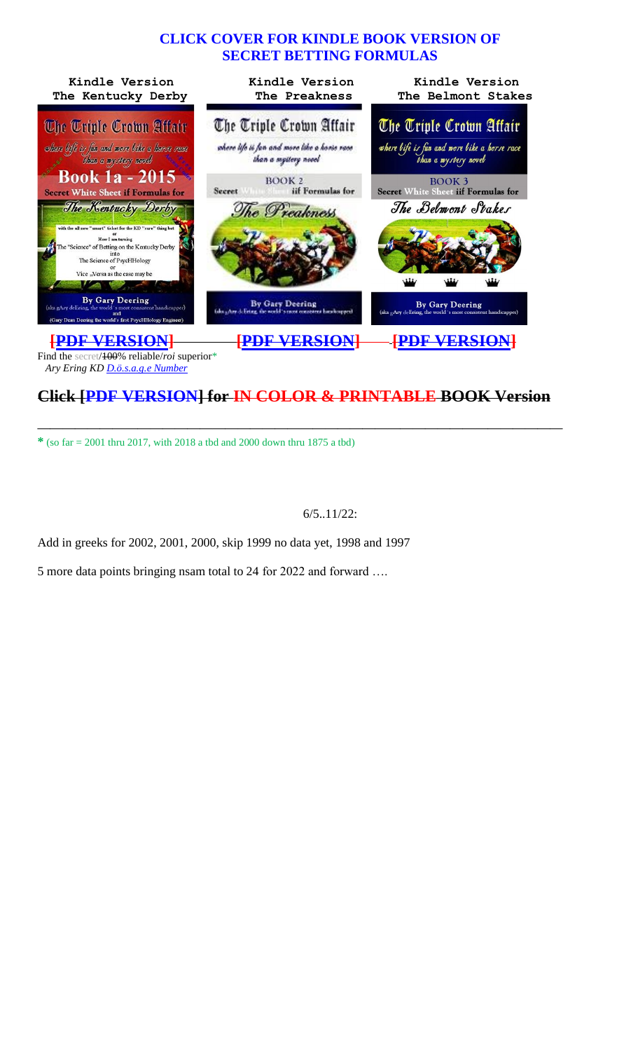#### **CLICK COVER FOR KINDLE BOOK VERSION OF SECRET BETTING FORMULAS**



# **Click [PDF VERSION] for IN COLOR & PRINTABLE BOOK Version**

**——————————————————————————————————————————**

**\*** (so far = 2001 thru 2017, with 2018 a tbd and 2000 down thru 1875 a tbd)

#### 6/5..11/22:

Add in greeks for 2002, 2001, 2000, skip 1999 no data yet, 1998 and 1997

5 more data points bringing nsam total to 24 for 2022 and forward ….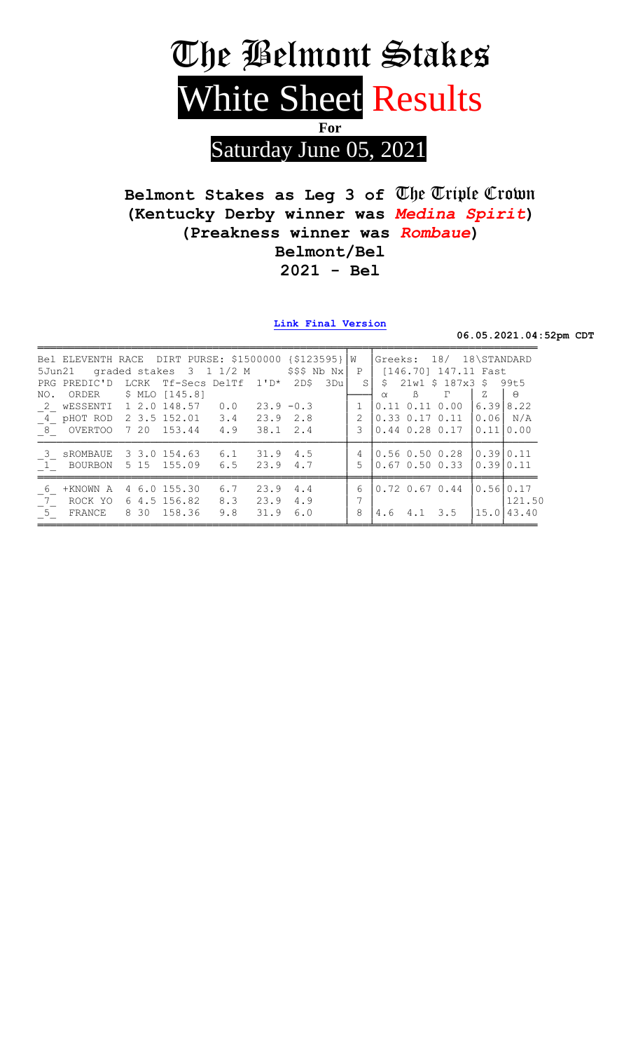

Belmont Stakes as Leg 3 of The Triple Crown (Kentucky Derby winner was Medina Spirit) (Preakness winner was Rombaue) Belmont/Bel  $2021 - Bel$ 

Link Final Version

06.05.2021.04:52pm CDT

|                                  | Bel ELEVENTH RACE DIRT PURSE: \$1500000 {\$123595} W<br>5Jun21 graded stakes $3 \t1 \t1/2 \tM$ \$\$\$ Nb Nx                                                               |                                    |                                          |                     | Greeks: 18/ 18\STANDARD<br>P   [146.70] 147.11 Fast                                                                                                                                                                   |                                             |
|----------------------------------|---------------------------------------------------------------------------------------------------------------------------------------------------------------------------|------------------------------------|------------------------------------------|---------------------|-----------------------------------------------------------------------------------------------------------------------------------------------------------------------------------------------------------------------|---------------------------------------------|
|                                  | PRG PREDIC'D LCRK Tf-Secs DelTf 1'D* 2D\$<br>NO. ORDER \$ MLO [145.8]<br>2 WESSENTI 1 2.0 148.57 0.0<br>4 pHOT ROD 2 3.5 152.01 3.4 23.9 2.8<br>8 OVERTOO 7 20 153.44 4.9 |                                    | 3Dul<br>$23.9 - 0.3$<br>$38.1 \quad 2.4$ | 2<br>3              | $S$ \$ 21w1 \$ 187x3 \$ 99t5<br>$\Gamma$<br>$\mathbb B$<br>$\alpha$<br>$\begin{bmatrix} 0.11 & 0.11 & 0.00 \end{bmatrix}$<br>$ 0.33 \t0.17 \t0.11 \t 0.06  N/A$<br>$\begin{bmatrix} 0.44 & 0.28 & 0.17 \end{bmatrix}$ | Z<br>$\Theta$<br>6.3918.22<br>$0.11$ $0.00$ |
|                                  | 3 SROMBAUE 3 3.0 154.63 6.1<br>1 BOURBON 5 15 155.09 6.5 23.9 4.7                                                                                                         |                                    | $31.9$ 4.5                               | $\overline{4}$<br>5 | $\big 0.56$ 0.50 0.28<br>0.67 0.50 0.33 l                                                                                                                                                                             | 0.39 0.11<br> 0.39 0.11                     |
| 6<br>+KNOWN A<br>$7\overline{ }$ | 4 6.0 155.30<br>ROCK YO 64.5156.82<br>5 FRANCE 8 30 158.36                                                                                                                | 6.7<br>8.3 23.9 4.9<br>9.8<br>31.9 | $23.9$ 4.4<br>6.0                        | 6<br>8              | $\begin{bmatrix} 0.72 & 0.67 & 0.44 \end{bmatrix}$ $\begin{bmatrix} 0.56 & 0.17 \end{bmatrix}$<br>$4.6$ $4.1$ $3.5$                                                                                                   | 121.50<br>115.0143.40                       |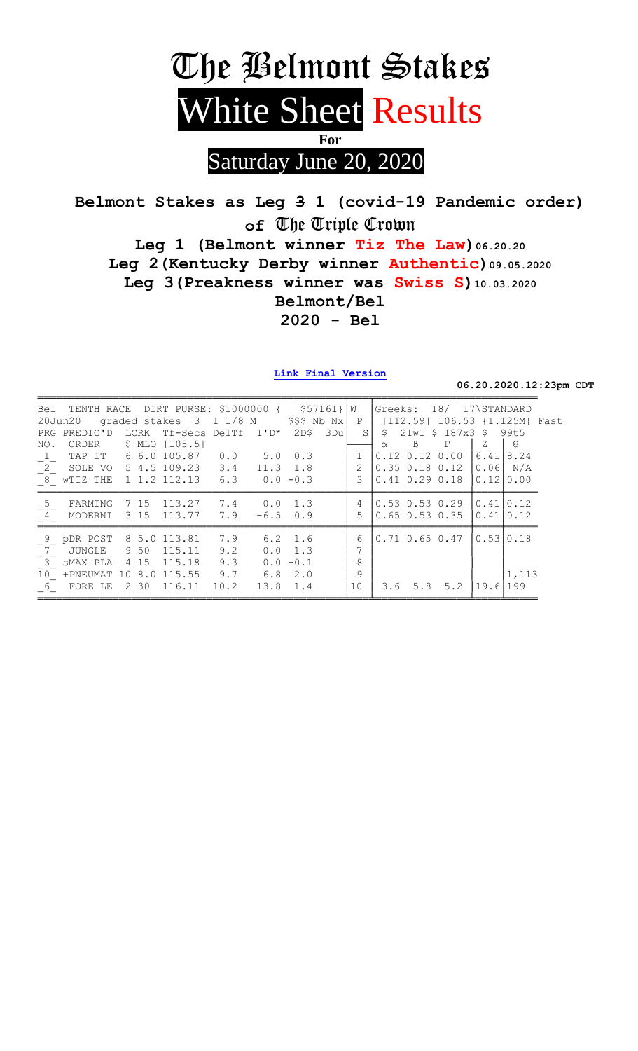

Saturday June 20, 2020

Belmont Stakes as Leg 3 1 (covid-19 Pandemic order) of The Triple Crown Leg 1 (Belmont winner Tiz The Law) 06.20.20 Leg 2 (Kentucky Derby winner Authentic) 09.05.2020 Leg 3 (Preakness winner was Swiss S) 10.03.2020 Belmont/Bel  $2020 - Bel$ 

Link Final Version

06.20.2020.12:23pm CDT

|                         | Bel TENTH RACE DIRT PURSE: \$1000000 { \$57161}   W |      |                |                                                 |              |                 |          |              |          |                      | Greeks: 18/ 17\STANDARD     |            |                               |  |
|-------------------------|-----------------------------------------------------|------|----------------|-------------------------------------------------|--------------|-----------------|----------|--------------|----------|----------------------|-----------------------------|------------|-------------------------------|--|
|                         | 20Jun20                                             |      |                | graded stakes $3 \t1 \t1/8 \tM$ $$55 \tNb Nx$ P |              |                 |          |              |          |                      |                             |            | [112.59] 106.53 {1.125M} Fast |  |
|                         | PRG PREDIC'D LCRK Tf-Secs DelTf 1'D*                |      |                |                                                 |              | 2D\$            | – 3 Du l | S            |          |                      | \$21w1\$\$187x3\$           |            | 99t5                          |  |
| NO.                     | ORDER                                               |      | \$ MLO [105.5] |                                                 |              |                 |          |              | $\alpha$ | $\mathbb{B}$         | Г                           | Ζ          | Θ                             |  |
| $\mathbf{1}_{-}$        | TAP IT                                              |      | 6 6.0 105.87   | 0.0                                             | $5.0 \t 0.3$ |                 |          | $\mathbf{1}$ |          | $0.12$ $0.12$ $0.00$ |                             | 6.41       | 8.24                          |  |
| $\overline{2}$          | SOLE VO 5 4.5 109.23 3.4                            |      |                |                                                 | $11.3$ 1.8   |                 |          | 2            |          |                      | $0.35$ 0.18 0.12 $ 0.06 $   |            | N/A                           |  |
|                         | $\overline{8}$ wTIZ THE 1 1.2 112.13 6.3            |      |                |                                                 | $0.0 - 0.3$  |                 |          | 3            |          |                      | $0.41$ $0.29$ $0.18$ $0.12$ |            | 0.00                          |  |
| 5                       | FARMING                                             | 7 15 | 113.27 7.4     |                                                 | $0.0 \t1.3$  |                 |          | 4            |          | $0.53$ $0.53$ $0.29$ |                             |            | 10.4110.12                    |  |
| $4\overline{ }$         | MODERNI                                             | 3 15 | 113.77         | 7.9                                             | $-6.5$       | 0.9             |          | 5            |          |                      | $0.65$ $0.53$ $0.35$        | 0 . 41     | $ 0.12\rangle$                |  |
| 9                       | pDR POST                                            |      | 8 5.0 113.81   | 7.9                                             |              | $6.2$ 1.6       |          | 6            |          |                      | $0.71$ 0.65 0.47            | 10.5310.18 |                               |  |
| $\overline{7}$          | JUNGLE                                              | 9 50 | 115.11         | 9.2                                             |              | $0.0 \quad 1.3$ |          | 7            |          |                      |                             |            |                               |  |
| $\overline{\mathbf{3}}$ | sMAX PLA 415                                        |      | 115.18         | 9.3                                             |              | $0.0 - 0.1$     |          | 8            |          |                      |                             |            |                               |  |
| 10 <sup>°</sup>         | +PNEUMAT                                            |      | 10 8.0 115.55  | 9.7                                             | $6.8$ 2.0    |                 |          | 9            |          |                      |                             |            | 1,113                         |  |
| 6                       | FORE LE                                             | 2 30 | 116.11         | 10.2                                            | 13.8 1.4     |                 |          | 10           | 3.6      |                      | $5.8$ $5.2$                 | 19.6       | 199                           |  |
|                         |                                                     |      |                |                                                 |              |                 |          |              |          |                      |                             |            |                               |  |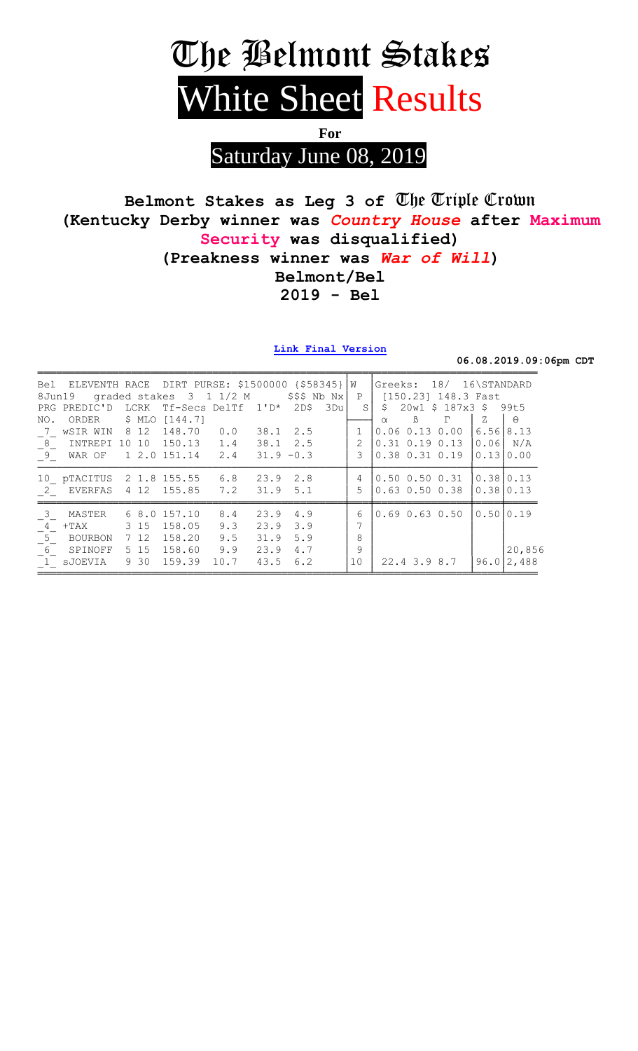# The Belmont Stakes White Sheet Results

For

Saturday June 08, 2019

## Belmont Stakes as Leg 3 of The Triple Crown (Kentucky Derby winner was Country House after Maximum Security was disqualified) (Preakness winner was War of Will) Belmont/Bel  $2019 - Bel$

Link Final Version

06.08.2019.09:06pm CDT

| 8Jun19                     | Bel ELEVENTH RACE DIRT PURSE: \$1500000 {\$58345} |      | graded stakes 3 1 1/2 M |            |                 |      | $$$ \$\$\$ Nb Nx $ $ |     | $\overline{W}$<br>P |          |              | Greeks: 18/ 16\STANDARD<br>[150.23] 148.3 Fast |                           |          |
|----------------------------|---------------------------------------------------|------|-------------------------|------------|-----------------|------|----------------------|-----|---------------------|----------|--------------|------------------------------------------------|---------------------------|----------|
|                            | PRG PREDIC'D LCRK Tf-Secs DelTf                   |      |                         |            | $1^{\prime}$ D* |      | 2D\$                 | 3Du | S.                  | \$       |              | 20w1 \$ 187x3 \$ 99t5                          |                           |          |
| NO.                        | ORDER \$ MLO [144.7]                              |      |                         |            |                 |      |                      |     |                     | $\alpha$ | $\beta$      | $\Gamma$                                       | Z                         | $\Theta$ |
| 7                          | wSIR WIN 8 12                                     |      | 148.70                  | 0.0        |                 |      | 38.1 2.5             |     |                     |          |              | $0.06$ $0.13$ $0.00$                           | 6.5618.13                 |          |
| $-$ <sup>8</sup>           | INTREPI 10 10                                     |      | 150.13                  | 1.4        |                 |      | $38.1 \quad 2.5$     |     | $\overline{2}$      |          |              | $0.31$ $0.19$ $0.13$                           | 0.06                      | N/A      |
| $\left[\frac{9}{2}\right]$ | WAR OF                                            |      | 1 2.0 151.14            | 2.4        |                 |      | $31.9 - 0.3$         |     | ς                   |          |              | $0.38$ $0.31$ $0.19$                           | 0.13                      | 0.00     |
| 10<br>2                    | pTACITUS<br>EVERFAS 4 12 155.85                   |      | 2 1.8 155.55            | 6.8<br>7.2 |                 | 23.9 | 2.8<br>$31.9$ $5.1$  |     | 4<br>5              |          |              | $0.50$ $0.50$ $0.31$<br>$0.63$ $0.50$ $0.38$   | $0.38$ 0.13<br>10.3810.13 |          |
| $\mathcal{S}$              | MASTER                                            |      | 6 8.0 157.10            | 8.4        |                 | 23.9 | 4.9                  |     | 6                   |          |              | $0.69$ $0.63$ $0.50$                           | 0.5010.19                 |          |
| $\overline{4}$             | $+{\rm TAX}$                                      | 3 15 | 158.05                  | 9.3        | 23.9            |      | 3.9                  |     | 7                   |          |              |                                                |                           |          |
| $\overline{5}$             | BOURBON                                           | 7 12 | 158.20                  | 9.5        |                 | 31.9 | 5.9                  |     | 8                   |          |              |                                                |                           |          |
| $^{-6}$                    | SPINOFF                                           | 5 15 | 158.60                  | 9.9        |                 | 23.9 | 4.7                  |     | 9                   |          |              |                                                |                           | 20,856   |
|                            | 1 sJOEVIA                                         | 9 30 | 159.39                  | 10.7       |                 | 43.5 | 6.2                  |     | 10                  |          | 22.4 3.9 8.7 |                                                | 96.0                      | 2,488    |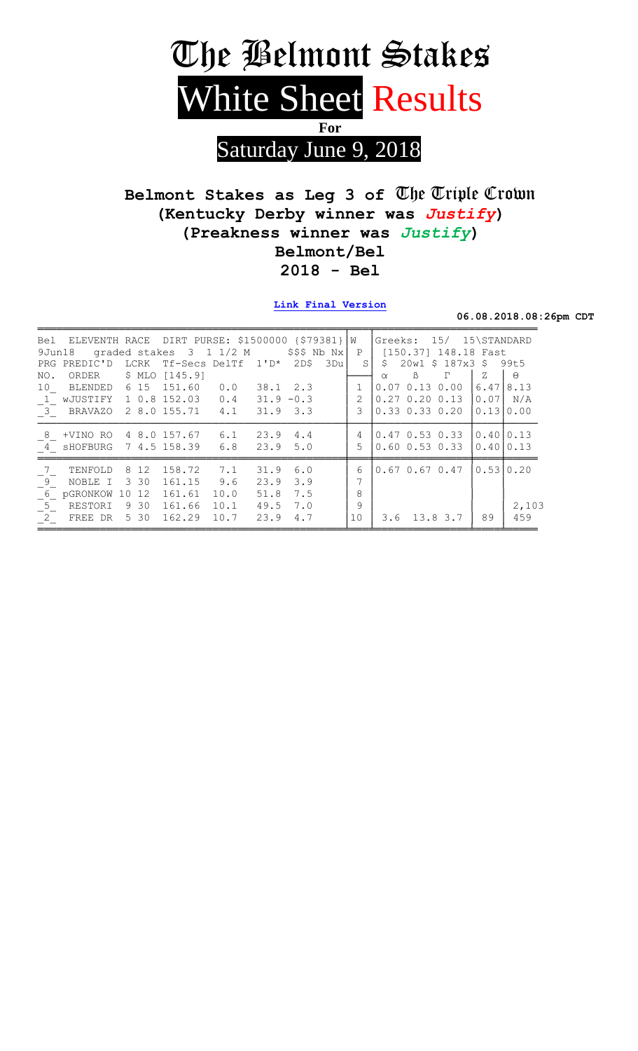

## Belmont Stakes as Leg 3 of The Triple Crown (Kentucky Derby winner was Justify) (Preakness winner was Justify) Belmont/Bel  $2018 - Bel$

Link Final Version

06.08.2018.08:26pm CDT

|         |                                                                                            |                            |                                                             |      |                                                                                                      |                                                                                                   |                                                                                                 | $\mathbf{P}$   |                                                                                      |                |          |                                                                                                                       |                                                                                                                                                                        |
|---------|--------------------------------------------------------------------------------------------|----------------------------|-------------------------------------------------------------|------|------------------------------------------------------------------------------------------------------|---------------------------------------------------------------------------------------------------|-------------------------------------------------------------------------------------------------|----------------|--------------------------------------------------------------------------------------|----------------|----------|-----------------------------------------------------------------------------------------------------------------------|------------------------------------------------------------------------------------------------------------------------------------------------------------------------|
|         |                                                                                            |                            |                                                             |      |                                                                                                      | 2DS                                                                                               | 3Du                                                                                             |                |                                                                                      |                |          |                                                                                                                       |                                                                                                                                                                        |
| ORDER   |                                                                                            |                            |                                                             |      |                                                                                                      |                                                                                                   |                                                                                                 |                | $\alpha$                                                                             | $\beta$        | $\Gamma$ | Z                                                                                                                     | $\Theta$                                                                                                                                                               |
| BLENDED |                                                                                            |                            |                                                             |      |                                                                                                      |                                                                                                   |                                                                                                 |                |                                                                                      |                |          |                                                                                                                       | 8.13                                                                                                                                                                   |
|         |                                                                                            |                            |                                                             |      |                                                                                                      |                                                                                                   |                                                                                                 |                |                                                                                      |                |          |                                                                                                                       | N/A                                                                                                                                                                    |
|         |                                                                                            |                            |                                                             |      |                                                                                                      |                                                                                                   |                                                                                                 | 3              |                                                                                      |                |          |                                                                                                                       |                                                                                                                                                                        |
|         |                                                                                            |                            |                                                             |      |                                                                                                      |                                                                                                   |                                                                                                 | $\overline{4}$ |                                                                                      |                |          |                                                                                                                       |                                                                                                                                                                        |
|         |                                                                                            |                            |                                                             |      |                                                                                                      |                                                                                                   |                                                                                                 |                |                                                                                      |                |          |                                                                                                                       |                                                                                                                                                                        |
|         |                                                                                            |                            |                                                             |      | 31.9                                                                                                 |                                                                                                   |                                                                                                 | 6              |                                                                                      |                |          |                                                                                                                       |                                                                                                                                                                        |
| NOBLE I |                                                                                            |                            |                                                             | 9.6  | 23.9                                                                                                 | 3.9                                                                                               |                                                                                                 |                |                                                                                      |                |          |                                                                                                                       |                                                                                                                                                                        |
|         |                                                                                            |                            |                                                             | 10.0 | 51.8                                                                                                 | 7.5                                                                                               |                                                                                                 | 8              |                                                                                      |                |          |                                                                                                                       |                                                                                                                                                                        |
| RESTORI |                                                                                            |                            |                                                             | 10.1 | 49.5                                                                                                 | 7.0                                                                                               |                                                                                                 | 9              |                                                                                      |                |          |                                                                                                                       | 2,103                                                                                                                                                                  |
|         |                                                                                            |                            |                                                             | 10.7 | 23.9                                                                                                 | 4.7                                                                                               |                                                                                                 | 10             |                                                                                      |                |          | 89                                                                                                                    | 459                                                                                                                                                                    |
| PRG     | 9Jun18<br>10<br>1 wJUSTIFY<br>8 +VINO RO<br>4 sHOFBURG<br>TENFOLD<br>6 pGRONKOW<br>$^{-2}$ | 3 BRAVAZO<br>10<br>FREE DR | PREDIC'D LCRK<br>6 15<br>8 12<br>3 30<br>12<br>9 30<br>5 30 |      | $$ MLO$ $[145.9]$<br>151.60<br>4 8.0 157.67<br>7.1<br>158.72<br>161.15<br>161.61<br>161.66<br>162.29 | graded stakes 3 1 1/2 M<br>0.0<br>1 0.8 152.03 0.4<br>2 8.0 155.71 4.1<br>6.1<br>7 4.5 158.39 6.8 | Tf-Secs DelTf 1'D*<br>38.1 2.3<br>$31.9 - 0.3$<br>$31.9$ $3.3$<br>23.9 4.4<br>$23.9$ 5.0<br>6.0 |                | Bel ELEVENTH RACE DIRT PURSE: \$1500000 $\frac{\frac{1}{279381}}{W}$<br>\$\$\$ Nb Nx | S <sub>1</sub> | 0.07     | $0.13 \ 0.00$<br>$0.27$ $0.20$ $0.13$<br>$0.47$ 0.53 0.33<br>$0.60$ $0.53$ $0.33$<br>$0.67$ 0.67 0.47<br>3.6 13.8 3.7 | Greeks: 15/ 15\STANDARD<br>[150.37] 148.18 Fast<br>$$20w1$$ \$187x3 \$99t5<br>6.47<br>0.07<br>$0.33$ $0.33$ $0.20$ $10.1310.00$<br>0.4010.13<br>0.4010.13<br>0.5310.20 |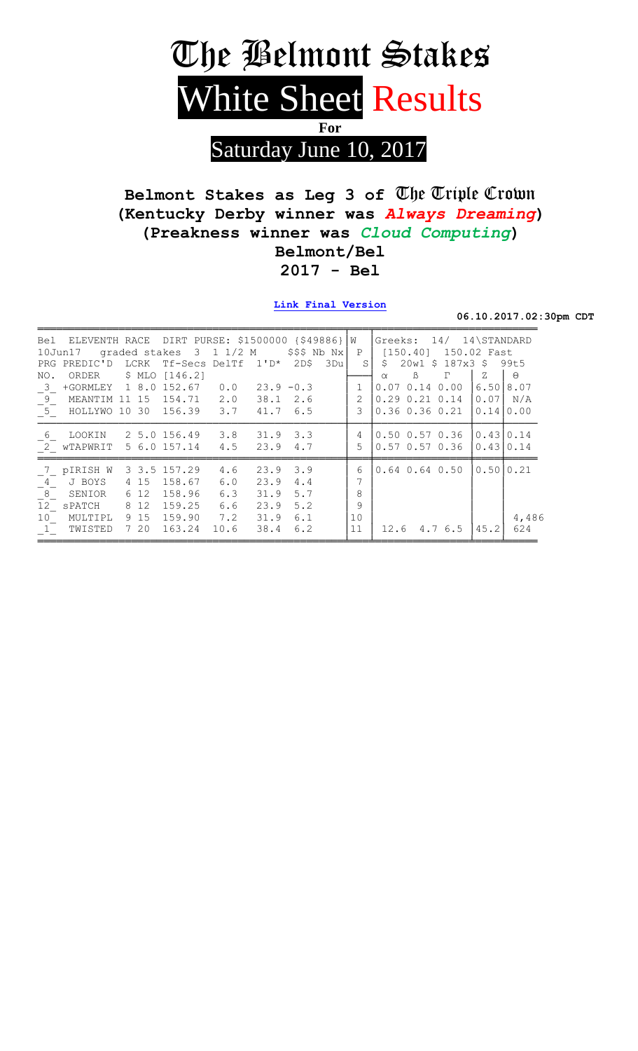

## Belmont Stakes as Leg 3 of The Triple Crown (Kentucky Derby winner was Always Dreaming) (Preakness winner was Cloud Computing) Belmont/Bel  $2017 - Bel$

Link Final Version

06.10.2017.02:30pm CDT

| Bel                        | ELEVENTH RACE         |       | DIRT PURSE: \$1500000 {\$49886} W |             |              |                  |     |                   | Greeks: 14/                          | 14\STANDARD |           |
|----------------------------|-----------------------|-------|-----------------------------------|-------------|--------------|------------------|-----|-------------------|--------------------------------------|-------------|-----------|
|                            | $10$ Jun $17$         |       | graded stakes 3                   | $1\;1/2\;M$ |              | $$$ \$\$\$ Nb Nx |     | $\mathbf{P}$      | [150.40]                             | 150.02 Fast |           |
| <b>PRG</b>                 | PREDIC'D              | LCRK  | Tf-Secs DelTf                     |             | $1' D*$      | 2D\$             | 3Du | $S_{\mathcal{L}}$ | S.<br>$20w1 \t$ 187x3 \t$$           |             | 99t.5     |
| NO.                        | ORDER                 |       | $$ MLO$ $[146.2]$                 |             |              |                  |     |                   | $\mathbb{B}$<br>$\Gamma$<br>$\alpha$ | Z           | $\Theta$  |
| 3                          | +GORMLEY 1 8.0 152.67 |       |                                   | 0.0         | $23.9 - 0.3$ |                  |     |                   | 0.07<br>$0.14\ 0.00$                 |             | 6.5018.07 |
| 9                          | MEANTIM               | 11 15 | 154.71                            | 2.0         |              | $38.1 \quad 2.6$ |     |                   | $0.29$ $0.21$ $0.14$                 | 0.071       | N/A       |
| $\overline{\phantom{0}}$ 5 | HOLLYWO 10 30         |       | 156.39                            | 3.7         | 41.76.5      |                  |     | 3                 | $0.36$ $0.36$ $0.21$                 |             | 0.1410.00 |
| 6                          | LOOKIN                |       | 2 5.0 156.49                      | 3.8         | $31.9$ $3.3$ |                  |     | 4                 | $0.50$ $0.57$ $0.36$                 |             | 0.43 0.14 |
| 2                          | WTAPWRIT              |       | 5 6.0 157.14                      | 4.5         | 23.9         | 4.7              |     | 5                 | $0.57$ $0.57$ $0.36$                 |             | 0.4310.14 |
| 7                          | pIRISH W              |       | 3 3.5 157.29                      | 4.6         | 23.9         | 3.9              |     | 6                 | $0.64$ $0.64$ $0.50$                 |             | 0.5010.21 |
| 4                          | J BOYS                | 4 15  | 158.67                            | 6.0         | 23.9         | 4.4              |     |                   |                                      |             |           |
| 8 <sup>8</sup>             | SENIOR                | 6 12  | 158.96                            | 6.3         | 31.9         | 5.7              |     | 8                 |                                      |             |           |
| 12 <sup>°</sup>            | SPATCH                | 8 1 2 | 159.25                            | 6.6         | 23.9         | 5.2              |     | 9                 |                                      |             |           |
| 10                         | MULTIPL               | 9 15  | 159.90                            | 7.2         | 31.9         | 6.1              |     | 10                |                                      |             | 4,486     |
| $\overline{1}$             | TWISTED               | 7 20  | 163.24                            | 10.6        | 38.4         | 6.2              |     | 11                | $12.6$ 4.7 6.5                       | 45.2        | 624       |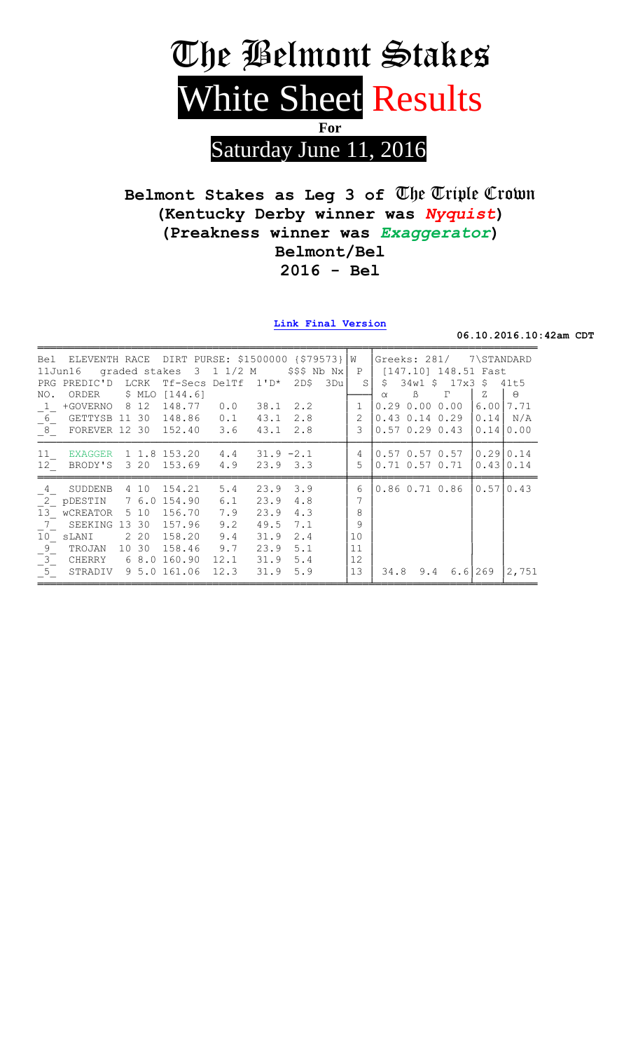

Belmont Stakes as Leg 3 of The Triple Crown (Kentucky Derby winner was Nyquist) (Preakness winner was Exaggerator) Belmont/Bel  $2016 - Bel$ 

Link Final Version

06.10.2016.10:42am CDT

|                                    | Bel ELEVENTH RACE DIRT PURSE: \$1500000 {\$79573} |    |        |              |                         |              |                      |     | W              |          | Greeks: 281/ |                      | 7\STANDARD  |            |
|------------------------------------|---------------------------------------------------|----|--------|--------------|-------------------------|--------------|----------------------|-----|----------------|----------|--------------|----------------------|-------------|------------|
|                                    | $11$ Jun $16$                                     |    |        |              | qraded stakes 3 1 1/2 M |              | $$$ \$\$\$ Nb Nx $ $ |     | P              |          |              | [147.10] 148.51 Fast |             |            |
|                                    | PRG PREDIC'D LCRK                                 |    |        |              | Tf-Secs DelTf 1'D*      |              | 2D\$                 | 3Du | S.             | \$       |              | 34w1 \$ 17x3 \$ 41t5 |             |            |
| NO.                                | ORDER                                             |    | \$ MLO | [144.6]      |                         |              |                      |     |                | $\alpha$ | $\beta$      | $\Gamma$             | Ζ           | $\Theta$   |
|                                    | 1 +GOVERNO 8 12                                   |    |        | 148.77       | 0.0                     | 38.1         | 2.2                  |     | $\mathbf{1}$   |          |              | 0.290.000.00         |             | 6.00 7.71  |
| $-6$                               | GETTYSB 11 30                                     |    |        | 148.86       | 0.1                     | 43.1         | 2.8                  |     | $\overline{2}$ |          |              | $0.43$ $0.14$ $0.29$ |             | $0.14$ N/A |
|                                    | $\boxed{8}$ FOREVER 12 30 152.40                  |    |        |              | 3.6                     | 43.1         | 2.8                  |     | 3              |          |              | $0.57$ $0.29$ $0.43$ |             | 0.1410.00  |
| 11                                 | EXAGGER                                           |    |        |              | 1 1.8 153.20 4.4        | $31.9 - 2.1$ |                      |     | 4              |          |              | $0.57$ 0.57 0.57     | 0.2910.14   |            |
| 12                                 | BRODY'S                                           |    | 3 20   | 153.69       | 4.9                     | 23.9 3.3     |                      |     | 5              |          |              | $0.71$ $0.57$ $0.71$ |             | 0.4310.14  |
|                                    |                                                   |    |        |              |                         |              |                      |     |                |          |              |                      |             |            |
| $\overline{4}$                     | SUDDENB                                           |    | 4 10   | 154.21       | 5.4                     | 23.9         | 3.9                  |     | 6              |          |              | $0.86$ $0.71$ $0.86$ |             | 0.5710.43  |
|                                    | $2^{2}$ pDESTIN 7 6.0                             |    |        | 154.90       | 6.1                     | 23.9         | 4.8                  |     | 7              |          |              |                      |             |            |
| 13                                 | wCREATOR 5 10                                     |    |        | 156.70       | 7.9                     | 23.9         | 4.3                  |     | 8              |          |              |                      |             |            |
| $7\overline{ }$                    | SEEKING 13 30                                     |    |        | 157.96       | 9.2                     | 49.5         | 7.1                  |     | 9              |          |              |                      |             |            |
| 10                                 | sLANI                                             |    | 2 2 0  | 158.20       | 9.4                     | 31.9         | 2.4                  |     | 10             |          |              |                      |             |            |
|                                    | TROJAN                                            | 10 | 30     | 158.46       | 9.7                     | 23.9         | 5.1                  |     | 11             |          |              |                      |             |            |
|                                    | CHERRY                                            |    | 6 8.0  | 160.90       | 12.1                    | 31.9         | 5.4                  |     | 12             |          |              |                      |             |            |
| $\frac{-9}{-3}$<br>$\frac{-3}{-5}$ | STRADIV                                           |    |        | 9 5.0 161.06 | 12.3                    | 31.9         | 5.9                  |     | 13             |          | 34.8 9.4     |                      | $6.6$   269 | 2,751      |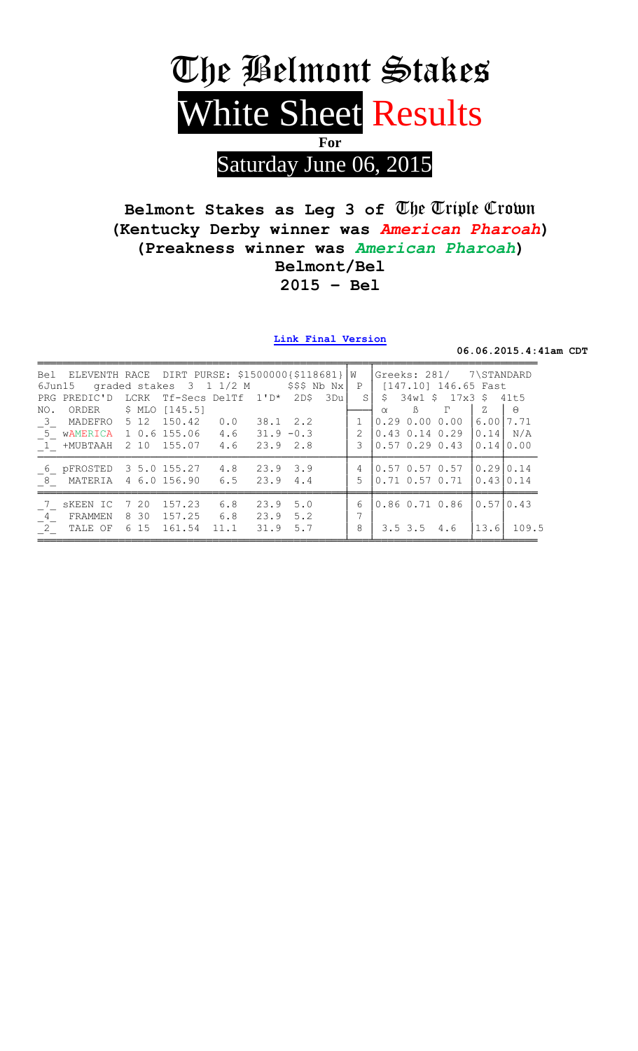

## Belmont Stakes as Leg 3 of The Triple Crown (Kentucky Derby winner was American Pharoah) (Preakness winner was American Pharoah) Belmont/Bel  $2015 - Bel$

Link Final Version

06.06.2015.4:41am CDT

|                           | Bel ELEVENTH RACE DIRT PURSE: \$1500000(\$118681} W<br>6Jun15 graded stakes $3 \t1 \t1/2 \tM$ \$\$\$ Nb Nx |              |                                               |      |                    |     |                     |          |                   | Greeks: 281/ 7\STANDARD<br>P   [147.10] 146.65 Fast                                |                        |          |
|---------------------------|------------------------------------------------------------------------------------------------------------|--------------|-----------------------------------------------|------|--------------------|-----|---------------------|----------|-------------------|------------------------------------------------------------------------------------|------------------------|----------|
| NO.                       | PRG PREDIC'D LCRK Tf-Secs DelTf 1'D* 2D\$ 3Du<br>ORDER \$ MLO [145.5]                                      |              |                                               |      |                    |     |                     | $\alpha$ | $\beta$           | $S \mid \xi$ 34w1 $\xi$ 17x3 $\xi$ 41t5<br>$\Gamma$                                | Z                      | $\Theta$ |
| $\overline{\mathbf{3}}$   | MADEFRO 5 12 150.42 0.0<br>5 WAMERICA 1 0.6 155.06 4.6 31.9 -0.3<br>1 +MUBTAAH 2 10 155.07 4.6 23.9 2.8    |              |                                               |      | 38.1 2.2           |     | $\mathcal{L}$<br>3  |          |                   | $0.29$ $0.00$ $0.00$  <br>0.43 0.14 0.29 10.141<br>$0.57$ 0.29 0.43 $\vert$        | 6.0017.71<br>0.1410.00 | N/A      |
| $\overline{\phantom{a}}8$ | 6 pFROSTED 3 5.0 155.27 4.8 23.9 3.9<br>MATERIA 4 6.0 156.90 6.5                                           |              |                                               |      | 23.9 4.4           |     | $\overline{4}$<br>5 |          |                   | $\begin{bmatrix} 0.57 & 0.57 & 0.57 \end{bmatrix}$<br>$0.71$ $0.57$ $0.71$ $\vert$ | 0.2910.14<br>0.4310.14 |          |
| 7<br>$4\overline{4}$      | SKEEN IC<br>FRAMMEN 830<br>2 TALE OF                                                                       | 7 20<br>6 15 | $157.23$ 6.8<br>157.25 6.8 23.9 5.2<br>161.54 | 11.1 | $23.9$ 5.0<br>31.9 | 5.7 | 6<br>7<br>8         |          | $3.5$ $3.5$ $4.6$ | 0.86 0.71 0.86                                                                     | 0.57 0.43<br>13.6      | 109.5    |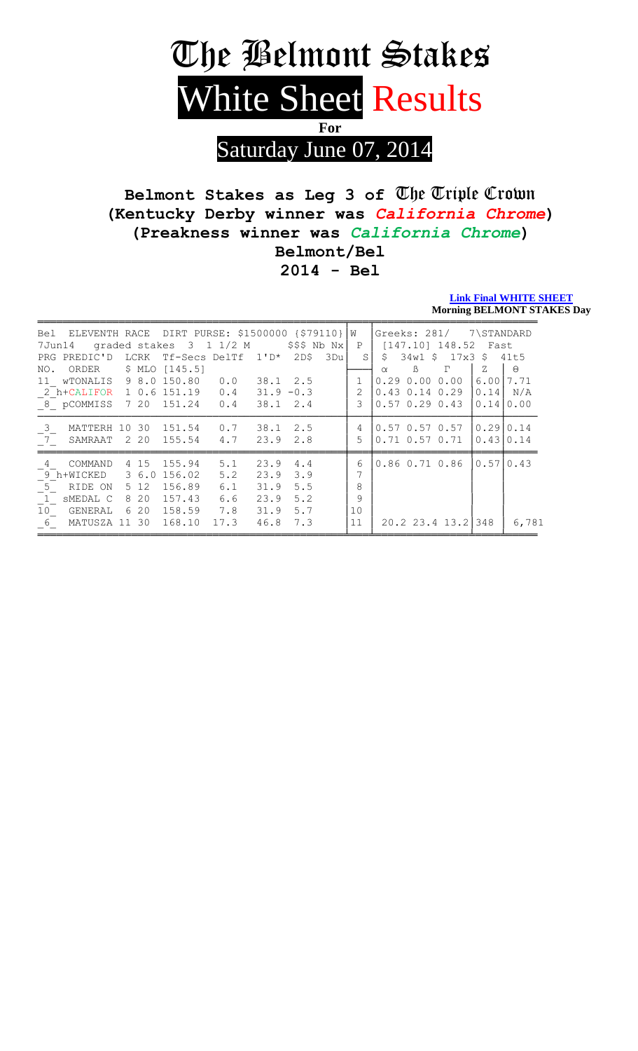

## Belmont Stakes as Leg 3 of The Triple Crown (Kentucky Derby winner was California Chrome) (Preakness winner was California Chrome) Belmont/Bel  $2014 - Bel$

**Link Final WHITE SHEET Morning BELMONT STAKES Day** 

| Bel             | ELEVENTH RACE DIRT PURSE: \$1500000 {\$79110} W |       |                         |      |                  |              |     |               |              |                      | Greeks: 281/ 7\STANDARD |             |           |
|-----------------|-------------------------------------------------|-------|-------------------------|------|------------------|--------------|-----|---------------|--------------|----------------------|-------------------------|-------------|-----------|
| 7Jun14          |                                                 |       | graded stakes 3 1 1/2 M |      |                  | \$\$\$ Nb Nx |     | $\mathbf{P}$  |              |                      | $[147.10]$ 148.52 Fast  |             |           |
| PRG             | PREDIC'D LCRK                                   |       | Tf-Secs DelTf           |      | $1 \cdot D^*$    | 2D\$         | 3Du | $\mathcal{S}$ | $\mathsf{S}$ |                      | 34w1 \$ 17x3 \$         |             | 41t5      |
| NO.             | ORDER \$ MLO [145.5]                            |       |                         |      |                  |              |     |               | $\alpha$     | $\beta$              | $\Gamma$                | $Z_{\rm i}$ | $\Theta$  |
|                 | 11 WTONALIS 9 8.0 150.80                        |       |                         | 0.0  | 38.1 2.5         |              |     |               |              |                      | 0.290.000.00            | 6.00        | 7.71      |
|                 | 2 h+CALIFOR 1 0.6 151.19                        |       |                         | 0.4  | $31.9 - 0.3$     |              |     | 2             |              |                      | $0.43$ $0.14$ $0.29$    | 0.14        | N/A       |
|                 | 8 pCOMMISS 7 20 151.24                          |       |                         | 0.4  | $38.1 \quad 2.4$ |              |     | 3             |              |                      | $0.57$ $0.29$ $0.43$    | 0.14        | 0.00      |
| $-3$            | MATTERH                                         | 10 30 | 151.54                  | 0.7  | 38.1             | 2.5          |     | 4             |              |                      | $0.57$ $0.57$ $0.57$    | 0.2910.14   |           |
|                 | 7 SAMRAAT                                       | 2 2 0 | 155.54                  | 4.7  | $23.9$ $2.8$     |              |     | 5             |              |                      | $0.71$ $0.57$ $0.71$    | 0.4310.14   |           |
| $\overline{4}$  | COMMAND                                         | 4 15  | 155.94                  | 5.1  | 23.9             | 4.4          |     | 6             |              | $0.86$ $0.71$ $0.86$ |                         |             | 0.5710.43 |
|                 | 9 h+WICKED                                      |       | 3 6.0 156.02            | 5.2  | 23.9             | 3.9          |     |               |              |                      |                         |             |           |
| 5 <sup>5</sup>  | RIDE ON                                         | 5 1 2 | 156.89                  | 6.1  | 31.9             | 5.5          |     | 8             |              |                      |                         |             |           |
|                 | 1 SMEDAL C                                      | 8 2 0 | 157.43                  | 6.6  | 23.9             | 5.2          |     | 9             |              |                      |                         |             |           |
| 10 <sub>1</sub> | GENERAL                                         | 620   | 158.59                  | 7.8  | 31.9             | 5.7          |     | 10            |              |                      |                         |             |           |
| 6               | MATUSZA 11 30 168.10                            |       |                         | 17.3 | 46.8 7.3         |              |     | 11            |              |                      | 20.2 23.4 13.2          | 348         | 6,781     |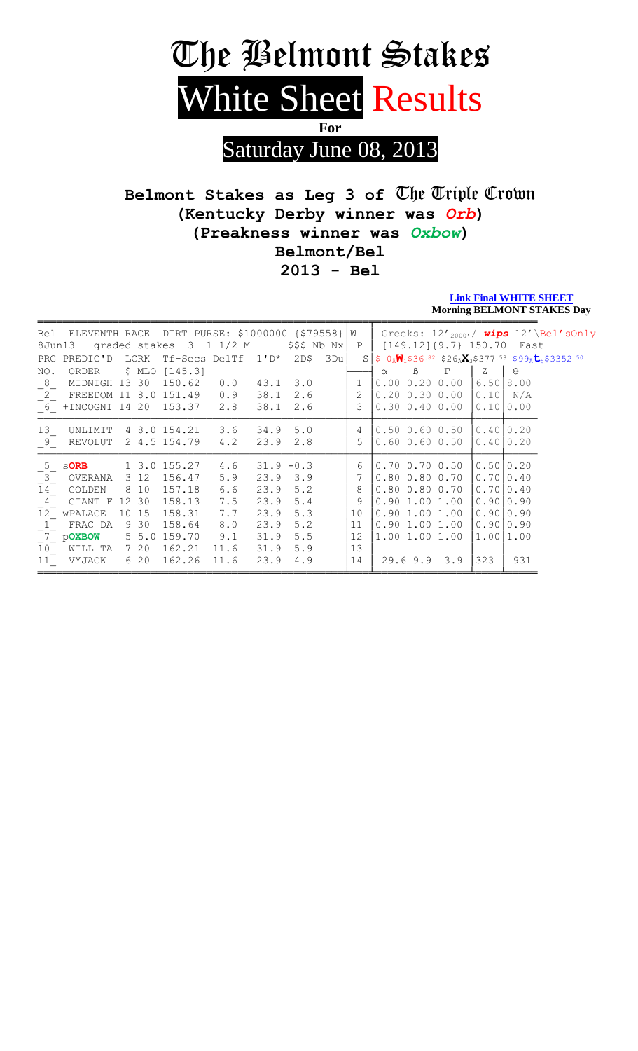# The Belmont Stakes White Sheet Results For Saturday June 08, 2013

## Belmont Stakes as Leg 3 of The Triple Crown (Kentucky Derby winner was Orb) (Preakness winner was Oxbow) Belmont/Bel  $2013 - Bel$

#### **Link Final WHITE SHEET Morning BELMONT STAKES Day**

| 8Jun13          | Bel ELEVENTH RACE DIRT PURSE: \$1000000 $\{579558\}$ $\vert W \vert$ |          | graded stakes 3 1 1/2 M |      |              | $$$ \$\$\$ Nb Nx |     | $\mathbf{P}$ | $[149.12] {9.7} 150.70$ |          |             | Greeks: 12' <sub>2000'</sub> / wips 12'\Bel'sOnly<br>Fast                                                           |
|-----------------|----------------------------------------------------------------------|----------|-------------------------|------|--------------|------------------|-----|--------------|-------------------------|----------|-------------|---------------------------------------------------------------------------------------------------------------------|
|                 | PRG PREDIC'D                                                         |          | LCRK Tf-Secs DelTf 1'D* |      |              | 2D\$             | 3Du |              |                         |          |             | $S$ \$ $0_{\bar{A}}\overline{W}_1$ \$36.82 \$26 $_{\bar{A}}X_3$ \$377.58 \$99 $_{\bar{A}}$ t <sub>5</sub> \$3352.50 |
| NO.             | ORDER                                                                |          | \$ MLO $[145.3]$        |      |              |                  |     |              | $\beta$<br>$\alpha$     | $\Gamma$ | $Z_{\rm I}$ | $\Theta$                                                                                                            |
| 8               | MIDNIGH 13 30                                                        |          | 150.62                  | 0.0  | 43.1         | 3.0              |     | $\mathbf{1}$ | $0.00$ $0.20$ $0.00$    |          | 6.50        | 8.00                                                                                                                |
| $^{-2}$         | FREEDOM 11 8.0 151.49                                                |          |                         | 0.9  | 38.1         | 2.6              |     |              | $0.20$ $0.30$ $0.00$    |          | 0.10        | N/A                                                                                                                 |
|                 | 6 +INCOGNI 14 20 153.37                                              |          |                         | 2.8  | 38.1         | 2.6              |     | 3            | $0.30 \t0.40 \t0.00$    |          | 0.10        | 0 . 0 0                                                                                                             |
| 13              | UNLIMIT                                                              |          | 4 8.0 154.21            | 3.6  | 34.9         | 5.0              |     | 4            | $0.50$ $0.60$ $0.50$    |          | 0.4010.20   |                                                                                                                     |
| 9               | REVOLUT                                                              |          | 2 4.5 154.79            | 4.2  | 23.9         | 2.8              |     | 5            | $0.60$ $0.60$ $0.50$    |          | 0.401       | 0.20                                                                                                                |
| 5 <sup>5</sup>  | <b>SORB</b>                                                          |          | 1 3.0 155.27            | 4.6  | $31.9 - 0.3$ |                  |     | 6            | $0.70$ $0.70$ $0.50$    |          |             | 0.5010.20                                                                                                           |
| $^{-3}$         | OVERANA                                                              | 3 1 2    | 156.47                  | 5.9  | 23.9         | 3.9              |     |              | $0.80$ $0.80$ $0.70$    |          | 0.7010.40   |                                                                                                                     |
| 14              | GOLDEN                                                               | 8 10     | 157.18                  | 6.6  | 23.9         | 5.2              |     | 8            | $0.80$ $0.80$ $0.70$    |          | 0.7010.40   |                                                                                                                     |
| $4\overline{ }$ | GIANT F                                                              | 12 30    | 158.13                  | 7.5  | 23.9         | 5.4              |     | 9            | $0.90$ 1.00 1.00        |          | 0.9010.90   |                                                                                                                     |
| 12              | WPALACE                                                              | 10 15    | 158.31                  | 7.7  | 23.9         | 5.3              |     | 10           | $0.90$ 1.00 1.00        |          | 0.9010.90   |                                                                                                                     |
| $\mathbf{1}$    | FRAC DA                                                              | 9 30     | 158.64                  | 8.0  | 23.9         | 5.2              |     | 11           | $0.90$ 1.00 1.00        |          | 0.9010.90   |                                                                                                                     |
|                 | 7 pOXBOW                                                             | $5\;5.0$ | 159.70                  | 9.1  | 31.9         | 5.5              |     | 12           | 1.00 1.00 1.00          |          | 1.00 1.00   |                                                                                                                     |
| 10              | WILL TA                                                              | 7 20     | 162.21                  | 11.6 | 31.9         | 5.9              |     | 13           |                         |          |             |                                                                                                                     |
| 11              | VYJACK                                                               | 6 20     | 162.26                  | 11.6 | 23.9         | 4.9              |     | 14           | $29.6$ $9.9$ $3.9$      |          | 323         | 931                                                                                                                 |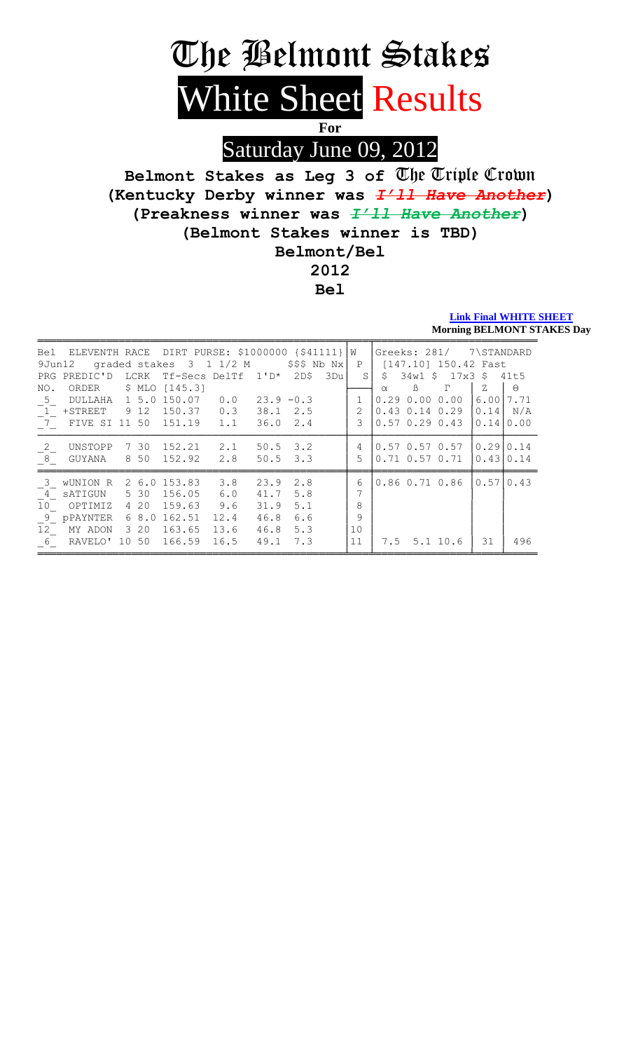# The Belmont Stakes White Sheet Results

For

Saturday June 09, 2012

Belmont Stakes as Leg 3 of The Triple Crown (Kentucky Derby winner was *I'll Have Another*) (Preakness winner was  $\frac{T'}{11}$  Have Another) (Belmont Stakes winner is TBD) Belmont/Bel 2012

**Bel** 

#### **Link Final WHITE SHEET Morning BELMONT STAKES Day**

| 9Jun12                  | Bel ELEVENTH RACE DIRT PURSE: \$1000000 {\$41111} |      |        | qraded stakes 3 1 1/2 M |      |              | $$$ \$\$\$ Nb Nx $ $ |     | $M_{\odot}$<br>P |          | Greeks: 281/ | [147.10] 150.42 Fast | 7\STANDARD |          |
|-------------------------|---------------------------------------------------|------|--------|-------------------------|------|--------------|----------------------|-----|------------------|----------|--------------|----------------------|------------|----------|
| PRG                     | PREDIC'D                                          |      | LCRK   | Tf-Secs DelTf           |      | $1' D*$      | 2D\$                 | 3Du | S                | S        | $34w1$ \$    | $17x3$ \$            |            | 41t5     |
| NO.                     | ORDER                                             |      | \$ MLO | [145.3]                 |      |              |                      |     |                  | $\alpha$ | $\beta$      | P                    | Ζ          | $\Theta$ |
| 5                       | DULLAHA                                           |      | 1 5.0  | 150.07                  | 0.0  | $23.9 - 0.3$ |                      |     |                  | 0.29     | 0.00         | 0.00                 | 6.00       | 7.71     |
| $\overline{1}$          | $+$ STREET                                        | 9 12 |        | 150.37                  | 0.3  | 38.1         | 2.5                  |     | $\overline{2}$   | 0.43     |              | $0.14$ 0.29          | 0.14       | N/A      |
|                         | 7 FIVE SI 11 50                                   |      |        | 151.19                  | 1.1  | 36.0         | 2.4                  |     | ζ                |          |              | $0.57$ $0.29$ $0.43$ | 0.14       | 0.00     |
| 2                       | UNSTOPP                                           |      | 7 30   | 152.21                  | 2.1  | 50.5         | 3.2                  |     | 4                |          |              | $0.57$ 0.57 0.57     | 0.29       | 0.14     |
| 8                       | GUYANA                                            |      | 8 50   | 152.92                  | 2.8  | $50.5$ 3.3   |                      |     | 5                |          |              | $0.71$ $0.57$ $0.71$ | 0.43       | 0.14     |
| $\overline{\mathbf{3}}$ | WUNION R                                          |      | 2 6.0  | 153.83                  | 3.8  | 23.9         | 2.8                  |     | 6                |          |              | $0.86$ $0.71$ $0.86$ | 0.57       | 0.43     |
| $\overline{4}$          | SATIGUN                                           |      | 5 30   | 156.05                  | 6.0  | 41.7         | 5.8                  |     |                  |          |              |                      |            |          |
| 10 <sub>o</sub>         | OPTIMIZ                                           |      | 4 20   | 159.63                  | 9.6  | 31.9         | 5.1                  |     | 8                |          |              |                      |            |          |
| - 9                     | <b>PPAYNTER</b>                                   |      | 68.0   | 162.51                  | 12.4 | 46.8         | 6.6                  |     | 9                |          |              |                      |            |          |
| 12 <sup>7</sup>         | MY ADON                                           |      | 3 20   | 163.65                  | 13.6 | 46.8         | 5.3                  |     | 10               |          |              |                      |            |          |
| $6 \quad$               | RAVELO' 10 50                                     |      |        | 166.59                  | 16.5 | 49.1         | 7.3                  |     | 11               |          |              | 7.5 5.1 10.6         | 31         | 496      |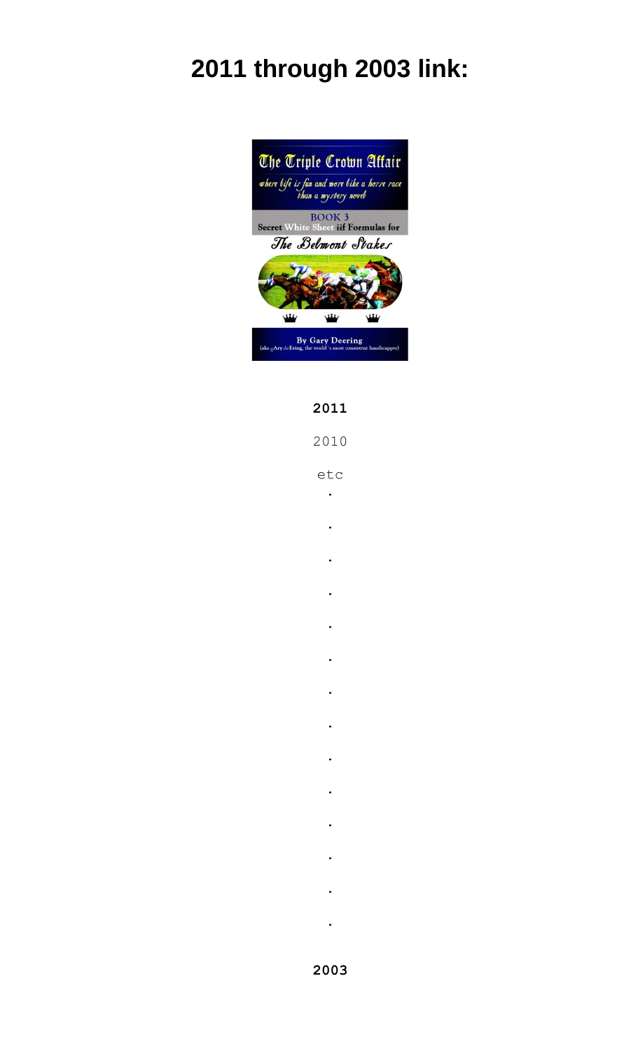# **2011 through 2003 link:**



#### **2011**

2010

etc

- .
- .
- 
- .
- .
- 
- .
	- .
	- .
	- .
	- .
	- .
	- .
	- .
- .
- .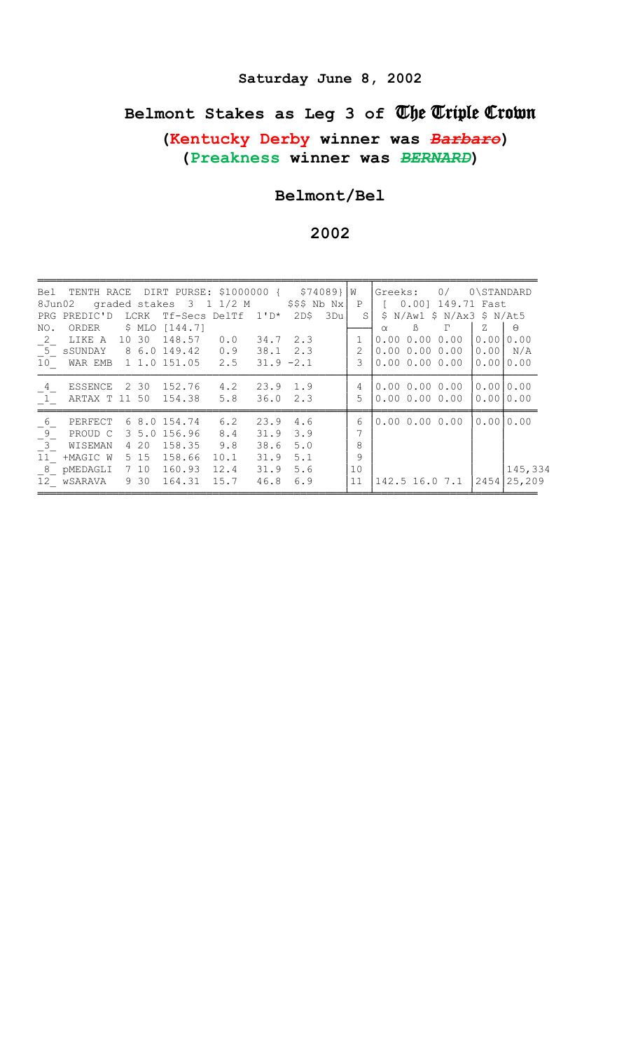## Saturday June 8, 2002

# Belmont Stakes as Leg 3 of The Triple Crown

(Kentucky Derby winner was Barbare) (Preakness winner was BERNARD)

#### Belmont/Bel

| 8Jun02         | Bel TENTH RACE DIRT PURSE: \$1000000 { \$74089} W |            |              | graded stakes 3 1 1/2 M |      |                  | $$$ \$\$\$ Nb Nx | $\mathbf{P}$ | Greeks:              | 0.001        | 0/<br>149.71 Fast             | 0\STANDARD |          |
|----------------|---------------------------------------------------|------------|--------------|-------------------------|------|------------------|------------------|--------------|----------------------|--------------|-------------------------------|------------|----------|
|                | PRG PREDIC'D                                      | LCRK       |              | Tf-Secs DelTf 1'D*      |      | 2DS              | 3Du              | S            | S                    |              | $N/Aw1$ \$ $N/Ax3$ \$ $N/At5$ |            |          |
| NO.            | ORDER                                             | \$ MLO     | [144.7]      |                         |      |                  |                  |              | $\alpha$             | $\mathbb{B}$ | $\Gamma$                      | Z          | $\Theta$ |
| $\overline{2}$ | LIKE A                                            | 10 30      | 148.57       | 0.0                     |      | $34.7$ 2.3       |                  |              |                      |              | 0.0000.0000.00                | 0.001      | 0.00     |
| $\boxed{5}$    | sSUNDAY                                           |            | 8 6.0 149.42 | 0.9                     |      | $38.1 \quad 2.3$ |                  | 2            |                      |              | 0.0000.0000.00                | 0.001      | N/A      |
| 10             | WAR EMB 1 1.0 151.05 2.5                          |            |              |                         |      | $31.9 - 2.1$     |                  | 3            |                      |              | 0.0000.0000.00                | 0.0010.00  |          |
| $\overline{4}$ | ESSENCE                                           | 2 30       | 152.76       | 4.2                     | 23.9 | 1.9              |                  | 4            | 0.0000.0000.00       |              |                               | 0.0010.00  |          |
| $\overline{1}$ | ARTAX T 11 50                                     |            | 154.38       | 5.8                     | 36.0 | 2.3              |                  | 5            | $0.00$ $0.00$ $0.00$ |              |                               | 0.0010.00  |          |
| 6              | PERFECT                                           |            | 6 8.0 154.74 | 6.2                     | 23.9 | 4.6              |                  | 6            |                      |              | 0.0000.0000.00                | 0.0010.00  |          |
| -9-            | PROUD C                                           | $3\;\;5.0$ | 156.96       | 8.4                     | 31.9 | 3.9              |                  | 7            |                      |              |                               |            |          |
| $\overline{3}$ | WISEMAN                                           | 4 2 0      | 158.35       | 9.8                     | 38.6 | 5.0              |                  | 8            |                      |              |                               |            |          |
| 11             | +MAGIC W                                          | 5 15       | 158.66       | 10.1                    | 31.9 | 5.1              |                  | 9            |                      |              |                               |            |          |
| 8              | pMEDAGLI                                          | 7 10       | 160.93       | 12.4                    | 31.9 | 5.6              |                  | 10           |                      |              |                               |            | 145,334  |
|                | 12 wSARAVA                                        | 9 30       | 164.31       | 15.7                    | 46.8 | 6.9              |                  | 11           | 142.5 16.0 7.1       |              |                               | 2454       | 25,209   |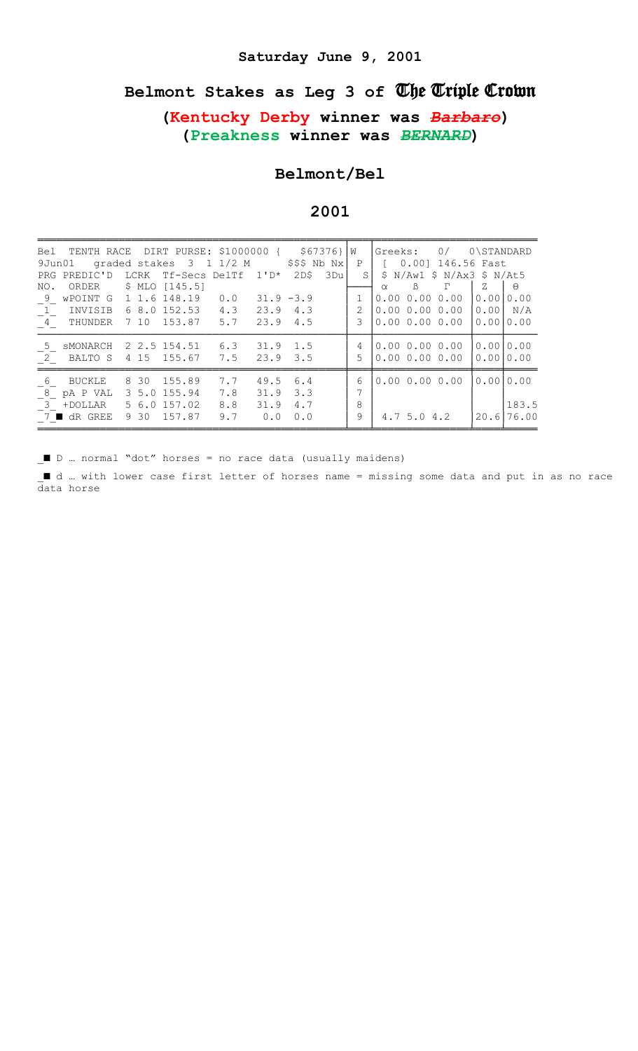#### Saturday June 9, 2001

# Belmont Stakes as Leg 3 of The Triple Crown

#### (Kentucky Derby winner was Barbaro) (Preakness winner was BERNARD)

#### Belmont/Bel

#### 2001

|             | Bel TENTH RACE DIRT PURSE: \$1000000 { \$67376} W<br>9Jun01    | graded stakes 3 1 1/2 M |     |              | $$$ \$\$\$ Nb Nx $ $ |     | P             |          |           | $ Greeks: 0/0\$ STANDARD<br>$[0.00]$ 146.56 Fast |      |            |
|-------------|----------------------------------------------------------------|-------------------------|-----|--------------|----------------------|-----|---------------|----------|-----------|--------------------------------------------------|------|------------|
|             | PRG PREDIC'D                                                   | LCRK Tf-Secs DelTf 1'D* |     |              | 2D\$                 | 3Du | S.            |          |           | \$ N/Aw1 \$ N/Ax3 \$ N/At5                       |      |            |
| NO.         | ORDER \$ MLO [145.5]                                           |                         |     |              |                      |     |               | $\alpha$ | $\beta$   | $\Gamma$                                         | Z    | $\Theta$   |
| 9           | wPOINT G 1 1.6 148.19 0.0                                      |                         |     | $31.9 - 3.9$ |                      |     | $\mathbf{1}$  |          |           | 0.0000.0000.00                                   | 0.00 | 0.00       |
|             | 1 INVISIB 6 8.0 152.53 4.3                                     |                         |     | $23.9$ 4.3   |                      |     | $\mathcal{L}$ |          |           | 0.0000.0000.001                                  | 0.00 | N/A        |
|             | $\begin{bmatrix} 4 \\ 4 \end{bmatrix}$ THUNDER 7 10 153.87 5.7 |                         |     | $23.9$ 4.5   |                      |     | 3             |          |           | 0.0000.0000.00                                   | 0.00 | 0.00       |
| $5^{\circ}$ | SMONARCH                                                       | 2 2.5 154.51            | 6.3 | $31.9$ 1.5   |                      |     | 4             |          |           | 0.0000.0000.00                                   |      | 0.0010.00  |
| 2           | BALTO S 4 15 155.67 7.5                                        |                         |     | $23.9$ $3.5$ |                      |     | 5             |          |           | 0.0000.0000.00                                   |      | 0.0010.00  |
| 6           | BUCKLE                                                         | 8 30 155.89             | 7.7 | 49.5         | 6.4                  |     | 6             |          |           | 0.0000.0000.00                                   | 0.00 | 0.00       |
| 8           | pA P VAL                                                       | 3 5.0 155.94            | 7.8 | 31.9         | 3.3                  |     | 7             |          |           |                                                  |      |            |
|             | 3 +DOLLAR 5 6.0 157.02                                         |                         | 8.8 | 31.9         | 4.7                  |     | 8             |          |           |                                                  |      | 183.5      |
|             | $7$ $\blacksquare$ dR GREE                                     | 9 30 157.87             | 9.7 | 0.0          | 0.0                  |     | 9             |          | 4.75.04.2 |                                                  |      | 20.6 76.00 |

■ D ... normal "dot" horses = no race data (usually maidens)

I d ... with lower case first letter of horses name = missing some data and put in as no race data horse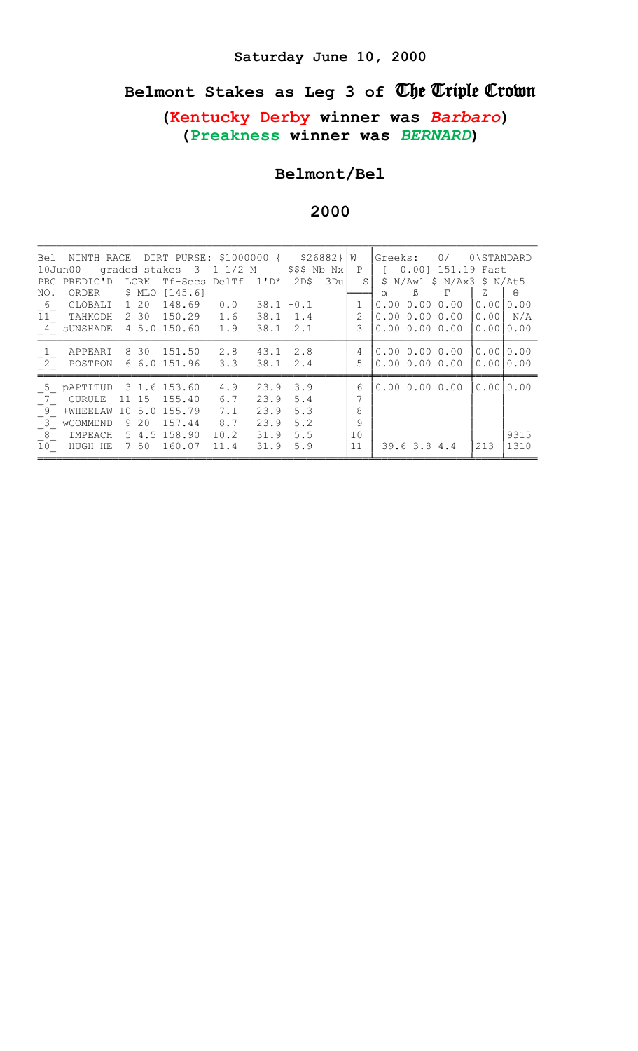# Belmont Stakes as Leg 3 of The Triple Crown

# (Kentucky Derby winner was Barbaro) (Preakness winner was BERNARD)

#### Belmont/Bel

2000

| $10$ Jun $00$    | Bel NINTH RACE DIRT PURSE: \$1000000 { \$26882} |       |          | graded stakes 3 1 1/2 M |      |                  | $$$ \$\$\$ Nb Nx |     | l W<br>$\mathbf{P}$ | Greeks:  |                | 0/<br>0.001 151.19 Fast       | 0\STANDARD |           |
|------------------|-------------------------------------------------|-------|----------|-------------------------|------|------------------|------------------|-----|---------------------|----------|----------------|-------------------------------|------------|-----------|
|                  | PRG PREDIC'D                                    |       | LCRK     | $Tf-Secs$ DelTf $1'D*$  |      |                  | 2D\$             | 3Du | S.                  | S        |                | $N/Aw1$ \$ $N/Ax3$ \$ $N/At5$ |            |           |
| NO.              | ORDER                                           |       | \$ MLO   | [145.6]                 |      |                  |                  |     |                     | $\alpha$ | $\mathbb{B}$   | Г                             | Z          | $\Theta$  |
| 6                | GLOBALI                                         |       | 1 20     | 148.69                  | 0.0  | $38.1 - 0.1$     |                  |     | 1                   |          |                | 0.0000.0000.00                | 0.00       | 0.00      |
| 11               | TAHKODH                                         |       | 2 30     | 150.29                  | 1.6  | 38.1             | 1.4              |     | $\overline{2}$      |          |                | 0.0000.0000.00                | 0.00       | N/A       |
|                  | 4 sUNSHADE                                      |       |          | 4 5.0 150.60            | 1.9  | $38.1 \quad 2.1$ |                  |     | 3                   |          |                | 0.0000.0000.00                | 0.00       | 0.00      |
| $\mathbf{1}_{-}$ | APPEARI                                         |       | 8 30     | 151.50                  | 2.8  | 43.1             | 2.8              |     | 4                   |          |                | 0.0000.0000.00                | 0.0010.00  |           |
| $\overline{2}$   | POSTPON                                         |       |          | 6 6.0 151.96            | 3.3  | 38.1             | 2.4              |     | 5                   |          |                | 0.0000.0000.00                | 0.00       | 10.00     |
| 5                | pAPTITUD                                        |       |          | 3 1.6 153.60            | 4.9  | 23.9             | 3.9              |     | 6                   |          |                | 0.0000.0000.00                |            | 0.0010.00 |
| 7                | CURULE                                          | 11 15 |          | 155.40                  | 6.7  | 23.9             | 5.4              |     | 7                   |          |                |                               |            |           |
| 9                | $+WHEELAW$                                      | 10    | 5.0      | 155.79                  | 7.1  | 23.9             | 5.3              |     | 8                   |          |                |                               |            |           |
| $\overline{3}$   | WCOMMEND                                        |       | 9 20     | 157.44                  | 8.7  | 23.9             | 5.2              |     | 9                   |          |                |                               |            |           |
| $^{-8}$          | IMPEACH                                         |       | $5\,4.5$ | 158.90                  | 10.2 | 31.9             | 5.5              |     | 10                  |          |                |                               |            | 9315      |
| $\overline{10}$  | HUGH HE                                         |       | 7 50     | 160.07                  | 11.4 | 31.9             | 5.9              |     | 11                  |          | $39.6$ 3.8 4.4 |                               | 213        | 1310      |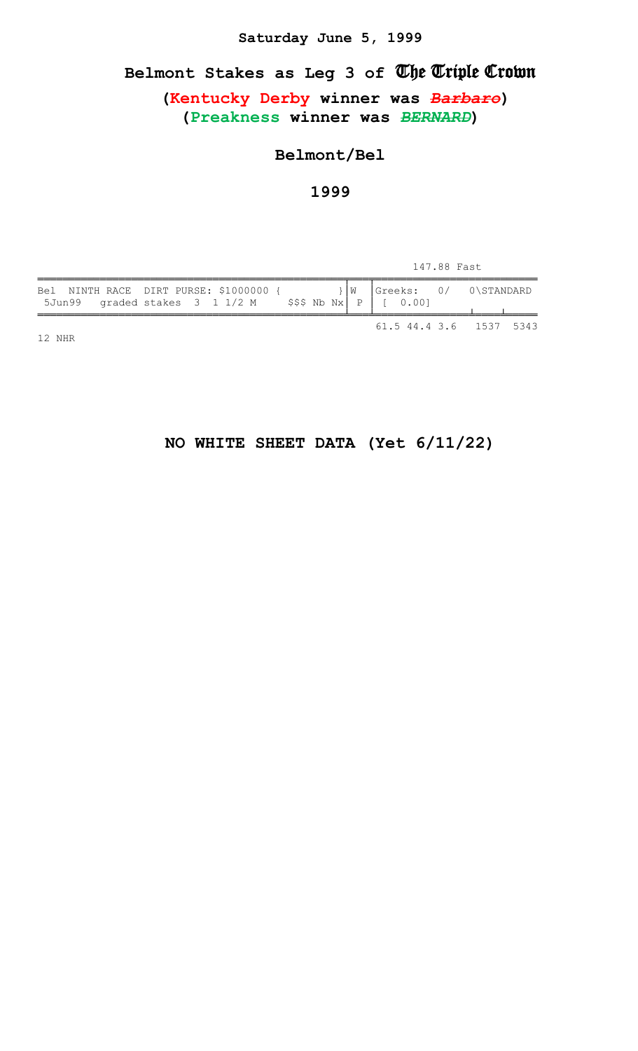#### **Saturday June 5, 1999**

# **Belmont Stakes as Leg 3 of** The Triple Crown

**(Kentucky Derby winner was** *Barbaro***) (Preakness winner was** *BERNARD***)**

#### **Belmont/Bel**

#### **1999**

| 147.88 Fast |
|-------------|
|-------------|

| Bel NINTH RACE DIRT PURSE: \$1000000 {<br>5Jun99 graded stakes $3 \t11/2 M$ \$\$\$ Nb Nx P   [ 0.00] |  |  | $\vert W \vert$ |  | $ Greeks: 0/ 0\S TANDARD$ |  |
|------------------------------------------------------------------------------------------------------|--|--|-----------------|--|---------------------------|--|
|                                                                                                      |  |  |                 |  | 61.5 44.4 3.6 1537 5343   |  |

12 NHR

# **NO WHITE SHEET DATA (Yet 6/11/22)**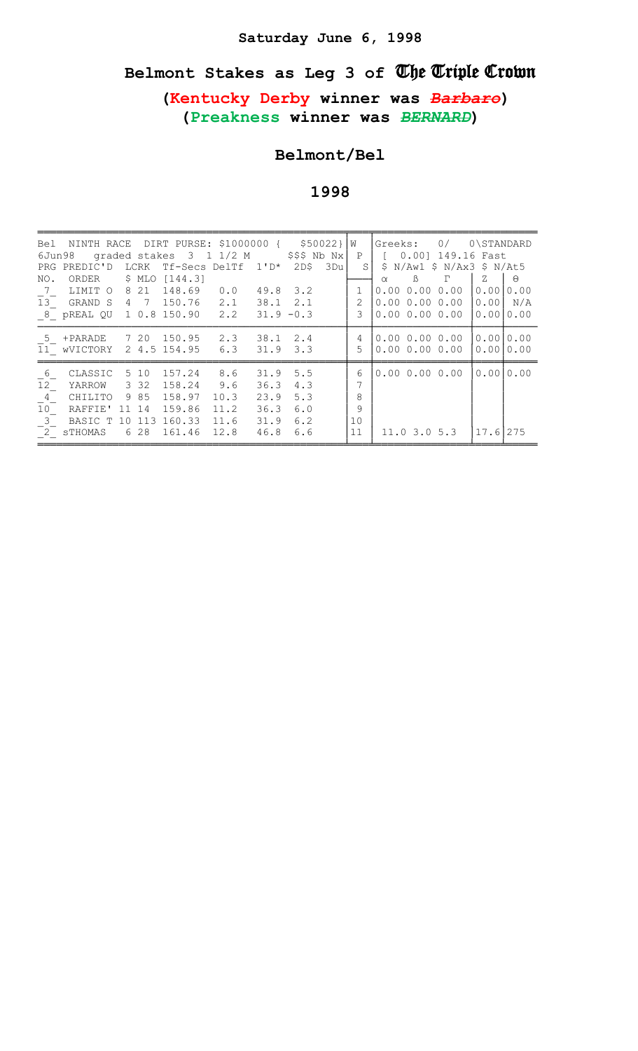# Saturday June 6, 1998

# Belmont Stakes as Leg 3 of The Triple Crown

(Kentucky Derby winner was Barbare) (Preakness winner was BERNARD)

# Belmont/Bel

| 6Jun98          | Bel NINTH RACE DIRT PURSE: \$1000000 { \$50022} |    |              |         | graded stakes 3 1 1/2 M |              | $$$ \$\$\$ Nb Nx |     | W<br>P         | Greeks:  | 0.001          | 0/<br>149.16 Fast             | 0\STANDARD |           |
|-----------------|-------------------------------------------------|----|--------------|---------|-------------------------|--------------|------------------|-----|----------------|----------|----------------|-------------------------------|------------|-----------|
|                 | PRG PREDIC'D                                    |    | LCRK         |         | Tf-Secs DelTf 1'D*      |              | 2DS              | 3Du | S              | S        |                | $N/Aw1$ \$ $N/Ax3$ \$ $N/At5$ |            |           |
| NO.             | ORDER                                           |    | \$ MLO       | [144.3] |                         |              |                  |     |                | $\alpha$ | $\mathbb{B}$   | г                             | Ζ          | $\Theta$  |
| $\overline{7}$  | LIMIT O                                         |    | 8 2 1        | 148.69  | 0.0                     | 49.8         | 3.2              |     | $\mathbf{1}$   | 0.00     |                | 0.0000.00                     | 0.001      | 0.00      |
| $\overline{1}3$ | GRAND S                                         |    | 4 7          | 150.76  | 2.1                     | 38.1         | 2.1              |     | $\overline{2}$ |          |                | 0.0000.0000.00                | 0.001      | N/A       |
|                 | 8 pREAL QU 1 0.8 150.90                         |    |              |         | 2.2                     | $31.9 - 0.3$ |                  |     | 3              |          |                | 0.0000.0000.00                | 0.001      | 0.00      |
| 5               | +PARADE                                         |    | 7 20         | 150.95  | 2.3                     | 38.1         | 2.4              |     | 4              |          |                | 0.0000.0000.00                | 0.0010.00  |           |
|                 | 11 WVICTORY                                     |    | 2 4.5 154.95 |         | 6.3                     | 31.9         | 3.3              |     | 5              |          |                | 0.0000.0000.00                | 0.0010.00  |           |
| 6               | CLASSIC                                         |    | 5 10         | 157.24  | 8.6                     | 31.9         | 5.5              |     | 6              |          |                | 0.0000.0000.00                |            | 0.0010.00 |
| 12 <sup>°</sup> | YARROW                                          |    | 3 3 2        | 158.24  | 9.6                     | 36.3         | 4.3              |     | 7              |          |                |                               |            |           |
| $4\overline{4}$ | CHILITO                                         |    | 9 85         | 158.97  | 10.3                    | 23.9         | 5.3              |     | 8              |          |                |                               |            |           |
| 10              | RAFFIE'                                         | 11 | 14           | 159.86  | 11.2                    | 36.3         | 6.0              |     | 9              |          |                |                               |            |           |
| $3-$            | BASIC T                                         | 10 | 113          | 160.33  | 11.6                    | 31.9         | 6.2              |     | 10             |          |                |                               |            |           |
|                 | $\overline{2}$ sTHOMAS                          | 6  | 28           | 161.46  | 12.8                    | 46.8         | 6.6              |     | 11             |          | $11.0$ 3.0 5.3 |                               | 17.61      | 275       |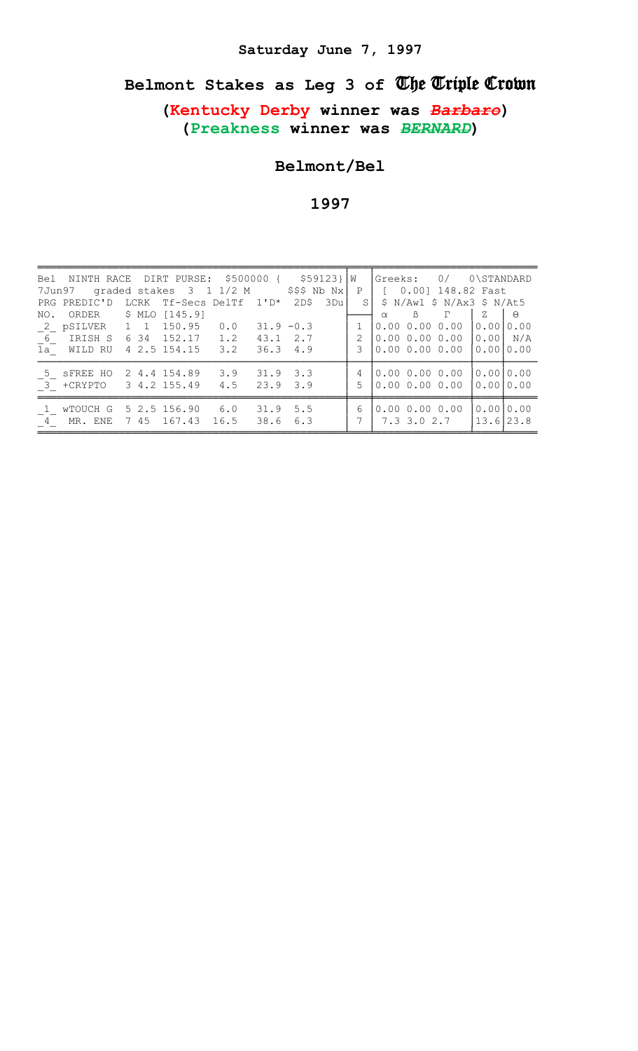# Belmont Stakes as Leg 3 of The Triple Crown

(Kentucky Derby winner was Barbare) (Preakness winner was BERNARD)

Belmont/Bel

| Bel NINTH RACE DIRT PURSE: \$500000 { \$59123}   W<br>7Jun97 graded stakes $3 \t1 \t1/2 M$ \$\$\$ Nb Nx |  |                                 |      |                              |     |       |        | Greeks: 0/ 0\STANDARD<br>P   [ 0.00] 148.82 Fast |                        |          |
|---------------------------------------------------------------------------------------------------------|--|---------------------------------|------|------------------------------|-----|-------|--------|--------------------------------------------------|------------------------|----------|
| LCRK Tf-Secs DelTf 1'D*<br>PRG PREDIC'D                                                                 |  |                                 |      |                              |     | 3Du l | S      | \$ N/Aw1 \$ N/Ax3 \$ N/At5                       |                        |          |
| NO. ORDER \$ MLO [145.9]                                                                                |  |                                 |      |                              |     |       |        | $\mathbb{B}$<br>$\Gamma$<br>$\alpha$             | Ζ                      | $\Theta$ |
| 2 pSILVER 1 1 150.95                                                                                    |  |                                 | 0.0  | $31.9 - 0.3$                 |     |       |        | 0.0000.0000.00                                   | 10.0010.00             |          |
| 6 IRISH S                                                                                               |  | 6 34 152.17 1.2                 |      | 43.1 2.7                     |     |       | 2      | 0.0000.0000.00                                   | [0.00] N/A             |          |
| 1a WILD RU                                                                                              |  | 4 2.5 154.15 3.2                |      | 36.34.9                      |     |       | 3      | 0.00 0.00 0.00 10.0010.00                        |                        |          |
| 5 SFREE HO<br>3 + CRYPTO 3 4.2 155.49                                                                   |  | 2 4.4 154.89 3.9                | 4.5  | $31.9$ $3.3$<br>$23.9$ $3.9$ |     |       | 4<br>5 | $0.00$ 0.00 0.00 0.00 0.00<br>0.0000.0000.00     | 10.0010.00             |          |
| 1 wTOUCH G<br>4 MR. ENE                                                                                 |  | 5 2.5 156.90 6.0<br>7 45 167.43 | 16.5 | $31.9$ 5.5<br>38.6           | 6.3 |       | 6      | 0.0000.0000.00<br>7.3 3.0 2.7                    | 0.0010.00<br>13.6123.8 |          |